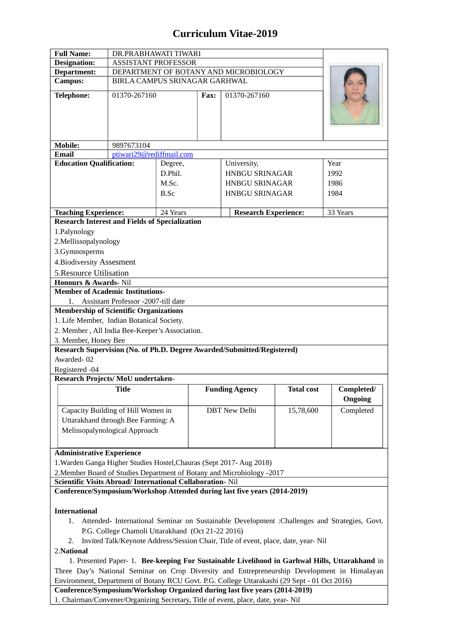## **Curriculum Vitae-2019**

| <b>Full Name:</b>                                                                                                                                                                              | DR.PRABHAWATI TIWARI                  |                        |      |                                                                                              |                   |                       |
|------------------------------------------------------------------------------------------------------------------------------------------------------------------------------------------------|---------------------------------------|------------------------|------|----------------------------------------------------------------------------------------------|-------------------|-----------------------|
| <b>Designation:</b>                                                                                                                                                                            | <b>ASSISTANT PROFESSOR</b>            |                        |      |                                                                                              |                   |                       |
| Department:                                                                                                                                                                                    | DEPARTMENT OF BOTANY AND MICROBIOLOGY |                        |      |                                                                                              |                   |                       |
| <b>Campus:</b>                                                                                                                                                                                 | BIRLA CAMPUS SRINAGAR GARHWAL         |                        |      |                                                                                              |                   |                       |
| <b>Telephone:</b>                                                                                                                                                                              | 01370-267160                          |                        | Fax: | 01370-267160                                                                                 |                   |                       |
| <b>Mobile:</b>                                                                                                                                                                                 | 9897673104                            |                        |      |                                                                                              |                   |                       |
| <b>Email</b>                                                                                                                                                                                   | ptiwari29@rediffmail.com              |                        |      |                                                                                              |                   |                       |
|                                                                                                                                                                                                |                                       | University,<br>Degree, |      |                                                                                              |                   | Year                  |
| <b>Education Qualification:</b>                                                                                                                                                                |                                       |                        |      |                                                                                              |                   |                       |
|                                                                                                                                                                                                |                                       | D.Phil.                |      | <b>HNBGU SRINAGAR</b>                                                                        |                   | 1992                  |
|                                                                                                                                                                                                |                                       | M.Sc.                  |      | <b>HNBGU SRINAGAR</b>                                                                        |                   | 1986                  |
|                                                                                                                                                                                                |                                       | <b>B.Sc</b>            |      | <b>HNBGU SRINAGAR</b>                                                                        |                   | 1984                  |
|                                                                                                                                                                                                |                                       | 24 Years               |      | <b>Research Experience:</b>                                                                  |                   |                       |
| <b>Teaching Experience:</b><br><b>Research Interest and Fields of Specialization</b>                                                                                                           |                                       |                        |      |                                                                                              |                   | 33 Years              |
|                                                                                                                                                                                                |                                       |                        |      |                                                                                              |                   |                       |
| 1.Palynology                                                                                                                                                                                   |                                       |                        |      |                                                                                              |                   |                       |
| 2. Mellissopalynology                                                                                                                                                                          |                                       |                        |      |                                                                                              |                   |                       |
| 3.Gymnosperms                                                                                                                                                                                  |                                       |                        |      |                                                                                              |                   |                       |
| 4. Biodiversity Assesment                                                                                                                                                                      |                                       |                        |      |                                                                                              |                   |                       |
| <b>5. Resource Utilisation</b>                                                                                                                                                                 |                                       |                        |      |                                                                                              |                   |                       |
| Honours & Awards- Nil                                                                                                                                                                          |                                       |                        |      |                                                                                              |                   |                       |
| <b>Member of Academic Institutions-</b>                                                                                                                                                        |                                       |                        |      |                                                                                              |                   |                       |
| 1. Assistant Professor -2007-till date                                                                                                                                                         |                                       |                        |      |                                                                                              |                   |                       |
| <b>Membership of Scientific Organizations</b>                                                                                                                                                  |                                       |                        |      |                                                                                              |                   |                       |
| 1. Life Member, Indian Botanical Society.                                                                                                                                                      |                                       |                        |      |                                                                                              |                   |                       |
| 2. Member, All India Bee-Keeper's Association.                                                                                                                                                 |                                       |                        |      |                                                                                              |                   |                       |
| 3. Member, Honey Bee                                                                                                                                                                           |                                       |                        |      |                                                                                              |                   |                       |
|                                                                                                                                                                                                |                                       |                        |      | Research Supervision (No. of Ph.D. Degree Awarded/Submitted/Registered)                      |                   |                       |
| Awarded-02                                                                                                                                                                                     |                                       |                        |      |                                                                                              |                   |                       |
| Registered -04                                                                                                                                                                                 |                                       |                        |      |                                                                                              |                   |                       |
| Research Projects/MoU undertaken-                                                                                                                                                              |                                       |                        |      |                                                                                              |                   |                       |
|                                                                                                                                                                                                | <b>Title</b>                          |                        |      | <b>Funding Agency</b>                                                                        | <b>Total cost</b> | Completed/<br>Ongoing |
| Capacity Building of Hill Women in                                                                                                                                                             |                                       |                        |      | <b>DBT New Delhi</b>                                                                         | 15,78,600         | Completed             |
| Uttarakhand through Bee Farming: A                                                                                                                                                             |                                       |                        |      |                                                                                              |                   |                       |
| Melissopalynological Approach                                                                                                                                                                  |                                       |                        |      |                                                                                              |                   |                       |
|                                                                                                                                                                                                |                                       |                        |      |                                                                                              |                   |                       |
| <b>Administrative Experience</b>                                                                                                                                                               |                                       |                        |      |                                                                                              |                   |                       |
| 1. Warden Ganga Higher Studies Hostel, Chauras (Sept 2017- Aug 2018)                                                                                                                           |                                       |                        |      |                                                                                              |                   |                       |
|                                                                                                                                                                                                |                                       |                        |      |                                                                                              |                   |                       |
| Scientific Visits Abroad/ International Collaboration- Nil                                                                                                                                     |                                       |                        |      | 2. Member Board of Studies Department of Botany and Microbiology -2017                       |                   |                       |
|                                                                                                                                                                                                |                                       |                        |      | Conference/Symposium/Workshop Attended during last five years (2014-2019)                    |                   |                       |
|                                                                                                                                                                                                |                                       |                        |      |                                                                                              |                   |                       |
| <b>International</b>                                                                                                                                                                           |                                       |                        |      |                                                                                              |                   |                       |
| Attended- International Seminar on Sustainable Development : Challenges and Strategies, Govt.<br>1.                                                                                            |                                       |                        |      |                                                                                              |                   |                       |
| P.G. College Chamoli Uttarakhand (Oct 21-22 2016)                                                                                                                                              |                                       |                        |      |                                                                                              |                   |                       |
| Invited Talk/Keynote Address/Session Chair, Title of event, place, date, year- Nil<br>2.                                                                                                       |                                       |                        |      |                                                                                              |                   |                       |
| 2. National                                                                                                                                                                                    |                                       |                        |      |                                                                                              |                   |                       |
|                                                                                                                                                                                                |                                       |                        |      |                                                                                              |                   |                       |
| 1. Presented Paper- 1. Bee-keeping For Sustainable Livelihood in Garhwal Hills, Uttarakhand in<br>Three Day's National Seminar on Crop Diversity and Entrepreneurship Development in Himalayan |                                       |                        |      |                                                                                              |                   |                       |
|                                                                                                                                                                                                |                                       |                        |      |                                                                                              |                   |                       |
|                                                                                                                                                                                                |                                       |                        |      | Environment, Department of Botany RCU Govt. P.G. College Uttarakashi (29 Sept - 01 Oct 2016) |                   |                       |
|                                                                                                                                                                                                |                                       |                        |      | Conference/Symposium/Workshop Organized during last five years (2014-2019)                   |                   |                       |
|                                                                                                                                                                                                |                                       |                        |      | 1. Chairman/Convener/Organizing Secretary, Title of event, place, date, year- Nil            |                   |                       |

1. Chairman/Convener/Organizing Secretary, Title of event, place, date, year- Nil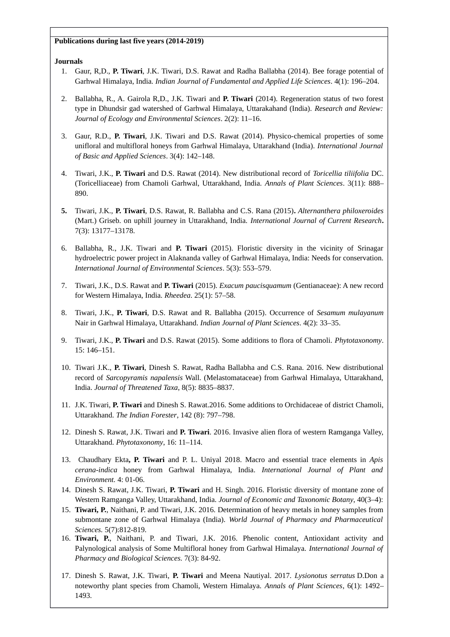## **Publications during last five years (2014-2019)**

## **Journals**

- 1. Gaur, R,D., **P. Tiwari**, J.K. Tiwari, D.S. Rawat and Radha Ballabha (2014). Bee forage potential of Garhwal Himalaya, India*. Indian Journal of Fundamental and Applied Life Sciences*. 4(1): 196–204.
- 2. Ballabha, R., A. Gairola R,D., J.K. Tiwari and **P. Tiwari** (2014). Regeneration status of two forest type in Dhundsir gad watershed of Garhwal Himalaya, Uttarakahand (India). *Research and Review: Journal of Ecology and Environmental Sciences*. 2(2): 11–16.
- 3. Gaur, R.D., **P. Tiwari**, J.K. Tiwari and D.S. Rawat (2014). Physico-chemical properties of some unifloral and multifloral honeys from Garhwal Himalaya, Uttarakhand (India). *International Journal of Basic and Applied Sciences*. 3(4): 142–148.
- 4. Tiwari, J.K., **P. Tiwari** and D.S. Rawat (2014). New distributional record of *Toricellia tiliifolia* DC. (Toricelliaceae) from Chamoli Garhwal, Uttarakhand, India. *Annals of Plant Sciences*. 3(11): 888– 890.
- **5.** Tiwari, J.K., **P. Tiwari**, D.S. Rawat, R. Ballabha and C.S. Rana (2015)**.** *Alternanthera philoxeroides* (Mart.) Griseb. on uphill journey in Uttarakhand, India. *International Journal of Current Research***.** 7(3): 13177–13178.
- 6. Ballabha, R., J.K. Tiwari and **P. Tiwari** (2015). Floristic diversity in the vicinity of Srinagar hydroelectric power project in Alaknanda valley of Garhwal Himalaya, India: Needs for conservation. *International Journal of Environmental Sciences*. 5(3): 553–579.
- 7. Tiwari, J.K., D.S. Rawat and **P. Tiwari** (2015). *Exacum paucisquamum* (Gentianaceae): A new record for Western Himalaya, India. *Rheedea*. 25(1): 57–58.
- 8. Tiwari, J.K., **P. Tiwari**, D.S. Rawat and R. Ballabha (2015). Occurrence of *Sesamum mulayanum* Nair in Garhwal Himalaya, Uttarakhand. *Indian Journal of Plant Sciences*. 4(2): 33–35.
- 9. Tiwari, J.K., **P. Tiwari** and D.S. Rawat (2015). Some additions to flora of Chamoli. *Phytotaxonomy*. 15: 146–151.
- 10. Tiwari J.K., **P. Tiwari**, Dinesh S. Rawat, Radha Ballabha and C.S. Rana. 2016. New distributional record of *Sarcopyramis napalensis* Wall. (Melastomataceae) from Garhwal Himalaya, Uttarakhand, India. *Journal of Threatened Taxa*, 8(5): 8835–8837.
- 11. J.K. Tiwari, **P. Tiwari** and Dinesh S. Rawat.2016. Some additions to Orchidaceae of district Chamoli, Uttarakhand. *The Indian Forester*, 142 (8): 797–798.
- 12. Dinesh S. Rawat, J.K. Tiwari and **P. Tiwari**. 2016. Invasive alien flora of western Ramganga Valley, Uttarakhand. *Phytotaxonomy*, 16: 11–114.
- 13. Chaudhary Ekta**, P. Tiwari** and P. L. Uniyal 2018. Macro and essential trace elements in *Apis cerana-indica* honey from Garhwal Himalaya, India. *International Journal of Plant and Environment.* 4: 01-06.
- 14. Dinesh S. Rawat, J.K. Tiwari, **P. Tiwari** and H. Singh. 2016. Floristic diversity of montane zone of Western Ramganga Valley, Uttarakhand, India. *Journal of Economic and Taxonomic Botany*, 40(3–4):
- 15. **Tiwari, P.**, Naithani, P. and Tiwari, J.K. 2016. Determination of heavy metals in honey samples from submontane zone of Garhwal Himalaya (India). *World Journal of Pharmacy and Pharmaceutical Sciences.* 5(7):812-819.
- 16. **Tiwari, P.**, Naithani, P. and Tiwari, J.K. 2016. Phenolic content, Antioxidant activity and Palynological analysis of Some Multifloral honey from Garhwal Himalaya. *International Journal of Pharmacy and Biological Sciences.* 7(3): 84-92.
- 17. Dinesh S. Rawat, J.K. Tiwari, **P. Tiwari** and Meena Nautiyal. 2017. *Lysionotus serratus* D.Don a noteworthy plant species from Chamoli, Western Himalaya. *Annals of Plant Sciences*, 6(1): 1492– 1493.